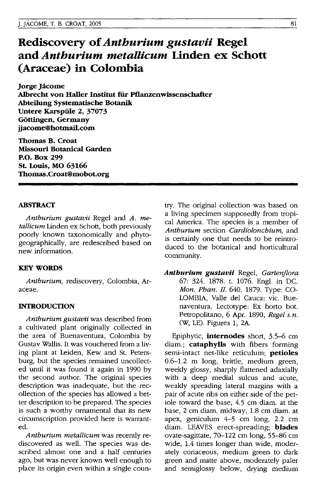# **Rediscovery of** *Anthurium gustavii* **Regel and** *Anthurium metallicum* **Linden ex Schott (Araceae) in Colombia**

**Jorge Jacome Albrecht von Haller Institut fiir pflanzenwissenschafter Abteilung Systematische Botanik Untere Karspiile 2, 37073 GOttingen, Germany jjacome@hotmail.com** 

**Thomas B. Croat Missouri Botanical Garden P.o. Box 299 St. Louis, MO 63166 Thomas.Croat@mobot.org** 

# **ABSTRACT**

*Anthurium gustavii* Regel and *A. metallicum* Linden ex Schott, both previously poorly known taxonomically and phytogeographically, are redescribed based on new information.

# **KEY WORDS**

*Anthurium,* rediscovery, Colombia, Araceae.

# **INTRODUCTION**

*Anthurium gustavii* was described from a cultivated plant originally collected in the area of Buenaventura, Colombia by Gustav Wallis. It was vouchered from a living plant at Leiden, Kew and St. Petersburg, but the species remained uncollected until it was found it again in 1990 by the second author. The original species description was inadequate, but the recollection of the species has allowed a better description to be prepared. The species is such a worthy ornamental that its new circumscription provided here is warranted.

*Anthurium metallicum* was recently rediscovered as well. The species was described almost one and a half centuries ago, but was never known well enough to place its origin even within a single country. The original collection was based on a living specimen supposedly from tropical America. The species is a member of *Anthurium* section *Cardiolonchium,* and is certainly one that needs to be reintroduced to the botanical and horticultural community.

*Anthurium gustavii* Regel, *Gartenflora*  67: 324. 1878. t. 1076. Eng\. in DC. *Aton. Phan.II* 640.1879. Type: CO-LOMBIA, Valle del Cauca: vic. Buenaventura. Lectotype: Ex horto bot. Petropolitano, 6 Apr. 1890, *Regel s.n.* CW, LE). Figures 1, 2A.

Epiphytic, **internodes** short, 3.5-6 cm diam.; **cataphylls** with fibers forming semi-intact net-like reticulum; **petioles**  0.6-1.2 m long, brittle, medium green, weekly glossy, sharply flattened adaxially with a deep medial sulcus and acute, weakly spreading lateral margins with a pair of acute ribs on either side of the petiole toward the base, 4.5 cm diam. at the base, 2 cm diam. midway, 1.8 cm diam. at apex, geniculum 4-5 cm long, 2.2 cm diam. LEAVES erect-spreading; **blades**  ovate-sagittate, 70-122 cm long, 55-86 cm wide, 1.4 times longer than wide, moderately coriaceous, medium green to dark green and matte above, moderately paler and semiglossy below, drying medium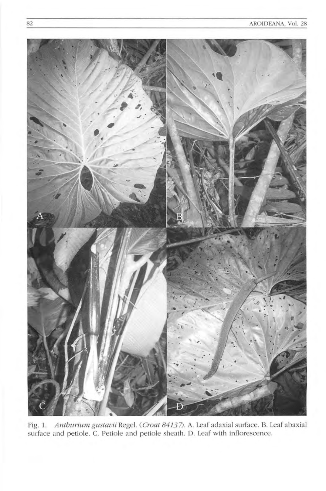

Fig. 1. Anthurium gustavii Regel. (Croat 84137). A. Leaf adaxial surface. B. Leaf abaxial surface and petiole. C. Petiole and petiole sheath. D. Leaf with inflorescence.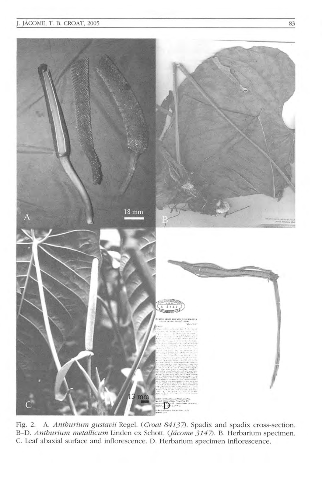

Fig. 2. A. Anthurium gustavii Regel. (Croat 84137). Spadix and spadix cross-section. B-D. Anthurium metallicum Linden ex Schott. (Jácome 3147). B. Herbarium specimen. C. Leaf abaxial surface and inflorescence. D. Herbarium specimen inflorescence.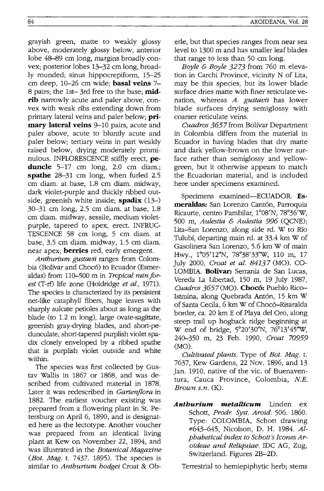grayish green, matte to weakly glossy above, moderately glossy below; anterior lobe 48-89 cm long, margins broadly convex; posterior lobes 13-32 cm long, broadly rounded; sinus hippocrepiform, 15-25 cm deep, 10-26 cm wide; **basal veins** 7- 8 pairs; the Ist- 3rd free to the base; **midrib** narrowly acute and paler above, convex with weak ribs extending down from primary lateral veins and paler below; **primary lateral veins** 9-10 pairs, acute and paler above, acute to bluntly acute and paler below; tertiary veins in part weakly raised below, drying moderately prominulous. INFLORESCENCE stiffly erect, **peduncle** 5-17 cm long, 2.0 cm diam.; **spathe** 28-31 cm long, when furled 2.5 cm diam. at base, 1.8 cm diam. midway, dark violet-purple and thickly ribbed outside, greenish white inside; **spadix** (13-) 30-31 cm long, 2.5 cm diam. at base, 1.8 cm diam. midway, sessile, medium violetpurple, tapered to apex, erect. INFRUC-TESCENCE 58 cm long, 5 cm diam. at base, 3.5 cm diam. midway, 1.5 cm diam. near apex; **berries** red, early emergent.

*Anthurium gustavii* ranges from Colombia (Bolfvar and Choco) to Ecuador (Esmeraldas) from 110-500 m in *Tropical rain forest* (T-rf) life zone (Holdridge *et al., 1971).*  The species is characterized by its persistent net-like cataphyll fibers, huge leaves with sharply sulcate petioles about as long as the blade (to 1.2 m long), large ovate-sagittate, greenish gray-drying blades, and short-pedunculate, short-tapered purplish violet spadix closely enveloped by a ribbed spathe that is purplish violet outside and white within.

The species was first collected by Gustav Wallis in 1867 or 1868, and was described from cultivated material in 1878. Later it was redescribed in *Gartenflora* in 1882. The earliest voucher existing was prepared from a flowering plant in St. Petersburg on April 6, 1890, and is designated here as the lectotype. Another voucher was prepared from an identical living plant at Kew on November 22, 1894, and was illustrated in the *Botanical Magazine (Bot. Mag.* t. 7437. 1895). The species is similar to *Anthurium hodgei* Croat & Oberle, but that species ranges from near sea level to 1300 m and has smaller leaf blades that range to less than 50 cm long.

*Boyle* & *Boyle* 3273 from 760 m elevation in Carchi Province, vicinity N of Lita, may be this species, but its lower blade surface dries matte with finer reticulate venation, whereas *A. gustavii* has lower blade surfaces drying semiglossy with coarser reticulate veins.

*Cuadros* 3657 from Bolivar Department in Colombia differs from the material in Ecuador in having blades that dry matte and dark yellow-brown on the lower surface rather than semiglossy and yellowgreen, but it otherwise appears to match the Ecuadorian material, and is included here under specimens examined.

Specimens examined-ECUADOR. Esmeraldas: San Lorenzo Cantón, Parroquia Ricaurte, centro Pambilar, 1°08'N, 78°36'w, 500 m, *Aulestia* & *Aulestia* 996 (QCNE); Lita-San Lorenzo, along side rd. W to Rio Tulubi, departing main rd. at 33.4 km W of Gasolinera San Lorenzo, 5.6 km W of main Hwy., 1°05' 12"N, 78°38'33''W, 110 m, 17 July 2000, *Croat et al.* 84137 (MO). CO-LOMBIA. **Bolivar:** Serrania de San Lucas, Vereda La Libertad, 150 m, 19 July 1987, *Cuadros* 3657 (MO). **Choco:** Pueblo Rico-Istmina, along Quebrada Antón, 15 km W of Santa Cecila, 6 km W of Choc6-Risaralda border, ca. 20 km E of Playa del Oro, along steep trail up hogback ridge beginning at Wend of bridge, 5°20'30"N, 76°13'45''W, 240-350 m, 23 Feb. 1990, *Croat* 70959  $(MO)$ .

*Cultivated plants.* Type of *Bot. Mag.* t. 7637, Kew Gardens, 22 Nov. 1896, and 13 Jan. 1910, native of the vic. of Buenaventura, Cauca Province, Colombia, *N.E. Brown s.n.* (K).

*Anthurium metallicum* Linden ex Schott, *Prodr. Syst. Aroid.* 506. 1860. Type: COLOMBIA, Schott drawing #643-645, Nicolson, D. H. 1984. *Alphabetical index to Schott's lcones Aroideae and Reliquiae.* IDC AG, Zug, Switzerland. Figures 2B-2D.

Terrestrial to hemiepiphytic herb; stems